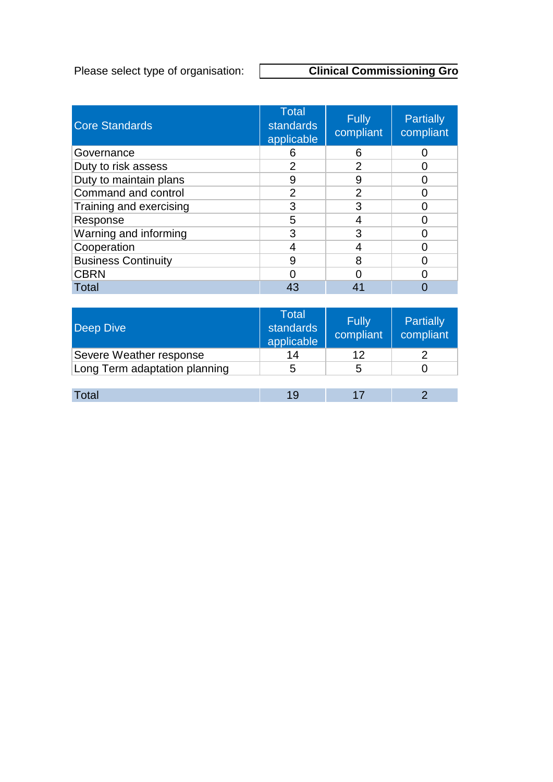Please select type of organisation:

## **Clinical Commissioning Group**

| <b>Core Standards</b>      | <b>Total</b><br><b>standards</b><br>applicable | <b>Fully</b><br>compliant | <b>Partially</b><br>compliant |
|----------------------------|------------------------------------------------|---------------------------|-------------------------------|
| Governance                 | 6                                              | 6                         |                               |
| Duty to risk assess        | 2                                              | $\overline{2}$            |                               |
| Duty to maintain plans     | 9                                              | 9                         |                               |
| Command and control        | 2                                              | $\overline{2}$            |                               |
| Training and exercising    | 3                                              | 3                         |                               |
| Response                   | 5                                              |                           |                               |
| Warning and informing      | 3                                              | З                         |                               |
| Cooperation                |                                                |                           |                               |
| <b>Business Continuity</b> | 9                                              | 8                         |                               |
| <b>CBRN</b>                |                                                |                           |                               |
| Total                      |                                                |                           |                               |

| <b>Deep Dive</b>              | <b>Total</b><br>standards<br>applicable | <b>Fully</b><br>compliant | Partially<br>compliant |
|-------------------------------|-----------------------------------------|---------------------------|------------------------|
| Severe Weather response       | 14                                      | 12                        |                        |
| Long Term adaptation planning | 5                                       | 5                         |                        |
|                               |                                         |                           |                        |
| Total                         | 19                                      |                           |                        |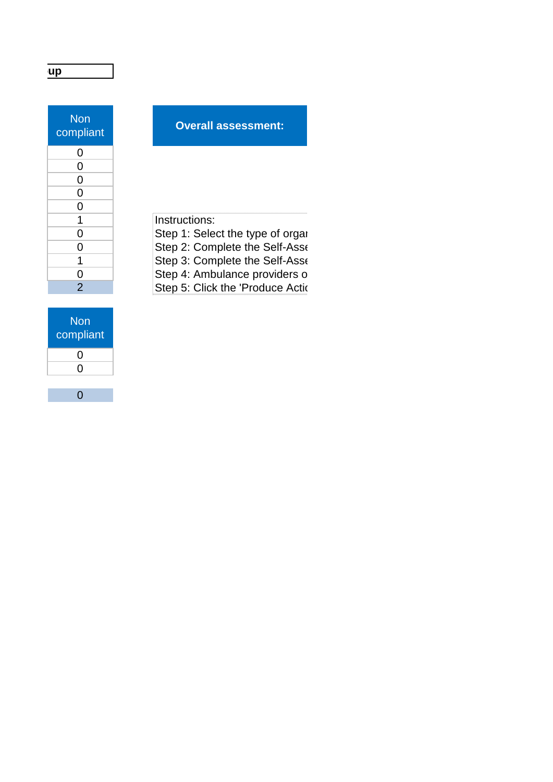| <b>Non</b><br>compliant |
|-------------------------|
| 0                       |
| 0                       |
| 0                       |
| 0                       |
| 0                       |
| 1                       |
| 0                       |
| 0                       |
| 1                       |
| $\frac{0}{2}$           |
|                         |

## **Overall assessment:**

Instructions: Step 1: Select the type of organ Step 2: Complete the Self-Asse Step 3: Complete the Self-Asses Step 4: Ambulance providers on Step 5: Click the 'Produce Action

| <b>Non</b><br>compliant |
|-------------------------|
| O                       |
| 0                       |
|                         |

0